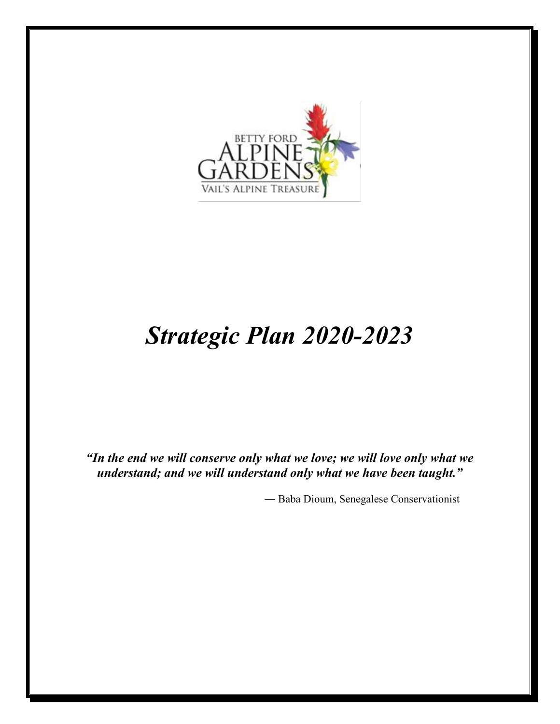

# *Strategic Plan 2020-2023*

*"In the end we will conserve only what we love; we will love only what we understand; and we will understand only what we have been taught."*

― Baba Dioum, Senegalese Conservationist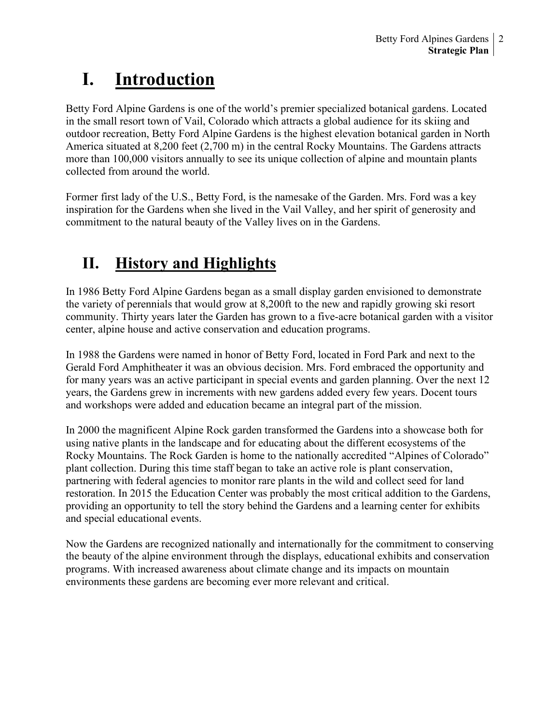## **I. Introduction**

Betty Ford Alpine Gardens is one of the world's premier specialized botanical gardens. Located in the small resort town of Vail, Colorado which attracts a global audience for its skiing and outdoor recreation, Betty Ford Alpine Gardens is the highest elevation botanical garden in North America situated at 8,200 feet (2,700 m) in the central Rocky Mountains. The Gardens attracts more than 100,000 visitors annually to see its unique collection of alpine and mountain plants collected from around the world.

Former first lady of the U.S., Betty Ford, is the namesake of the Garden. Mrs. Ford was a key inspiration for the Gardens when she lived in the Vail Valley, and her spirit of generosity and commitment to the natural beauty of the Valley lives on in the Gardens.

## **II. History and Highlights**

In 1986 Betty Ford Alpine Gardens began as a small display garden envisioned to demonstrate the variety of perennials that would grow at 8,200ft to the new and rapidly growing ski resort community. Thirty years later the Garden has grown to a five-acre botanical garden with a visitor center, alpine house and active conservation and education programs.

In 1988 the Gardens were named in honor of Betty Ford, located in Ford Park and next to the Gerald Ford Amphitheater it was an obvious decision. Mrs. Ford embraced the opportunity and for many years was an active participant in special events and garden planning. Over the next 12 years, the Gardens grew in increments with new gardens added every few years. Docent tours and workshops were added and education became an integral part of the mission.

In 2000 the magnificent Alpine Rock garden transformed the Gardens into a showcase both for using native plants in the landscape and for educating about the different ecosystems of the Rocky Mountains. The Rock Garden is home to the nationally accredited "Alpines of Colorado" plant collection. During this time staff began to take an active role is plant conservation, partnering with federal agencies to monitor rare plants in the wild and collect seed for land restoration. In 2015 the Education Center was probably the most critical addition to the Gardens, providing an opportunity to tell the story behind the Gardens and a learning center for exhibits and special educational events.

Now the Gardens are recognized nationally and internationally for the commitment to conserving the beauty of the alpine environment through the displays, educational exhibits and conservation programs. With increased awareness about climate change and its impacts on mountain environments these gardens are becoming ever more relevant and critical.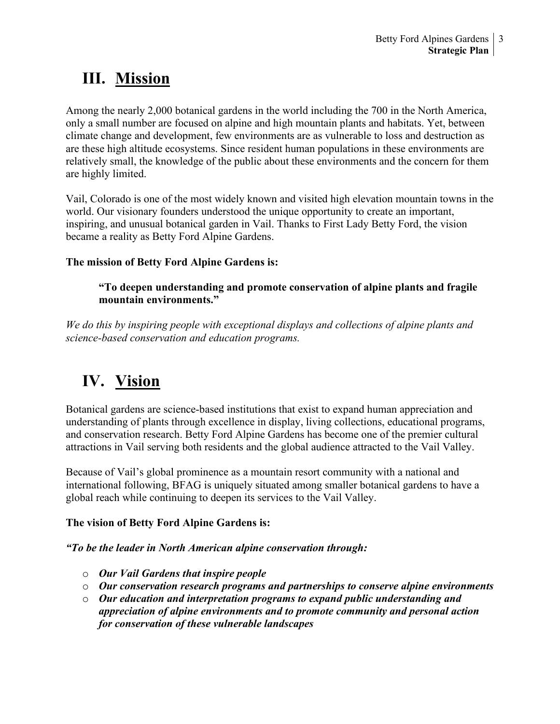## **III. Mission**

Among the nearly 2,000 botanical gardens in the world including the 700 in the North America, only a small number are focused on alpine and high mountain plants and habitats. Yet, between climate change and development, few environments are as vulnerable to loss and destruction as are these high altitude ecosystems. Since resident human populations in these environments are relatively small, the knowledge of the public about these environments and the concern for them are highly limited.

Vail, Colorado is one of the most widely known and visited high elevation mountain towns in the world. Our visionary founders understood the unique opportunity to create an important, inspiring, and unusual botanical garden in Vail. Thanks to First Lady Betty Ford, the vision became a reality as Betty Ford Alpine Gardens.

### **The mission of Betty Ford Alpine Gardens is:**

#### **"To deepen understanding and promote conservation of alpine plants and fragile mountain environments."**

*We do this by inspiring people with exceptional displays and collections of alpine plants and science-based conservation and education programs.*

## **IV. Vision**

Botanical gardens are science-based institutions that exist to expand human appreciation and understanding of plants through excellence in display, living collections, educational programs, and conservation research. Betty Ford Alpine Gardens has become one of the premier cultural attractions in Vail serving both residents and the global audience attracted to the Vail Valley.

Because of Vail's global prominence as a mountain resort community with a national and international following, BFAG is uniquely situated among smaller botanical gardens to have a global reach while continuing to deepen its services to the Vail Valley.

#### **The vision of Betty Ford Alpine Gardens is:**

#### *"To be the leader in North American alpine conservation through:*

- o *Our Vail Gardens that inspire people*
- o *Our conservation research programs and partnerships to conserve alpine environments*
- o *Our education and interpretation programs to expand public understanding and appreciation of alpine environments and to promote community and personal action for conservation of these vulnerable landscapes*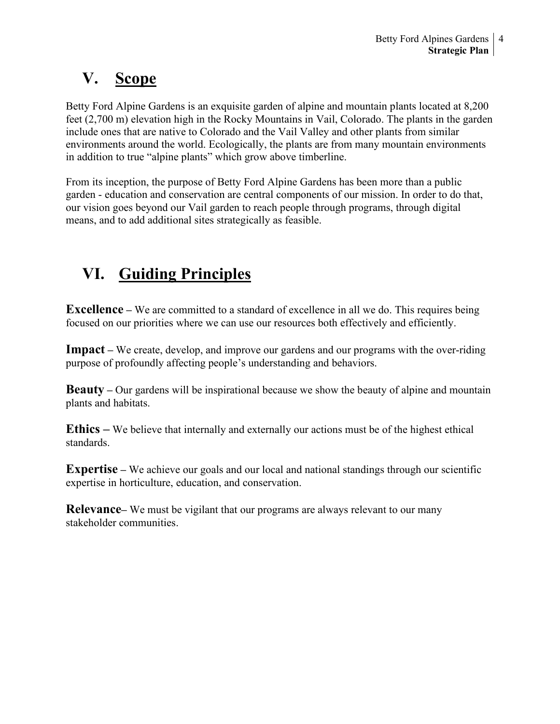## **V. Scope**

Betty Ford Alpine Gardens is an exquisite garden of alpine and mountain plants located at 8,200 feet (2,700 m) elevation high in the Rocky Mountains in Vail, Colorado. The plants in the garden include ones that are native to Colorado and the Vail Valley and other plants from similar environments around the world. Ecologically, the plants are from many mountain environments in addition to true "alpine plants" which grow above timberline.

From its inception, the purpose of Betty Ford Alpine Gardens has been more than a public garden - education and conservation are central components of our mission. In order to do that, our vision goes beyond our Vail garden to reach people through programs, through digital means, and to add additional sites strategically as feasible.

## **VI. Guiding Principles**

**Excellence** – We are committed to a standard of excellence in all we do. This requires being focused on our priorities where we can use our resources both effectively and efficiently.

**Impact** – We create, develop, and improve our gardens and our programs with the over-riding purpose of profoundly affecting people's understanding and behaviors.

**Beauty** – Our gardens will be inspirational because we show the beauty of alpine and mountain plants and habitats.

**Ethics –** We believe that internally and externally our actions must be of the highest ethical standards.

**Expertise** – We achieve our goals and our local and national standings through our scientific expertise in horticulture, education, and conservation.

**Relevance–** We must be vigilant that our programs are always relevant to our many stakeholder communities.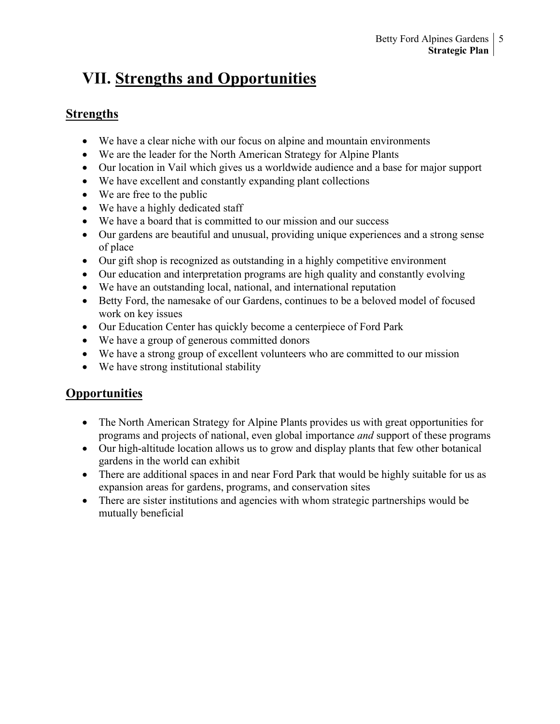## **VII. Strengths and Opportunities**

## **Strengths**

- We have a clear niche with our focus on alpine and mountain environments
- We are the leader for the North American Strategy for Alpine Plants
- Our location in Vail which gives us a worldwide audience and a base for major support
- We have excellent and constantly expanding plant collections
- We are free to the public
- We have a highly dedicated staff
- We have a board that is committed to our mission and our success
- Our gardens are beautiful and unusual, providing unique experiences and a strong sense of place
- Our gift shop is recognized as outstanding in a highly competitive environment
- Our education and interpretation programs are high quality and constantly evolving
- We have an outstanding local, national, and international reputation
- Betty Ford, the namesake of our Gardens, continues to be a beloved model of focused work on key issues
- Our Education Center has quickly become a centerpiece of Ford Park
- We have a group of generous committed donors
- We have a strong group of excellent volunteers who are committed to our mission
- We have strong institutional stability

## **Opportunities**

- The North American Strategy for Alpine Plants provides us with great opportunities for programs and projects of national, even global importance *and* support of these programs
- Our high-altitude location allows us to grow and display plants that few other botanical gardens in the world can exhibit
- There are additional spaces in and near Ford Park that would be highly suitable for us as expansion areas for gardens, programs, and conservation sites
- There are sister institutions and agencies with whom strategic partnerships would be mutually beneficial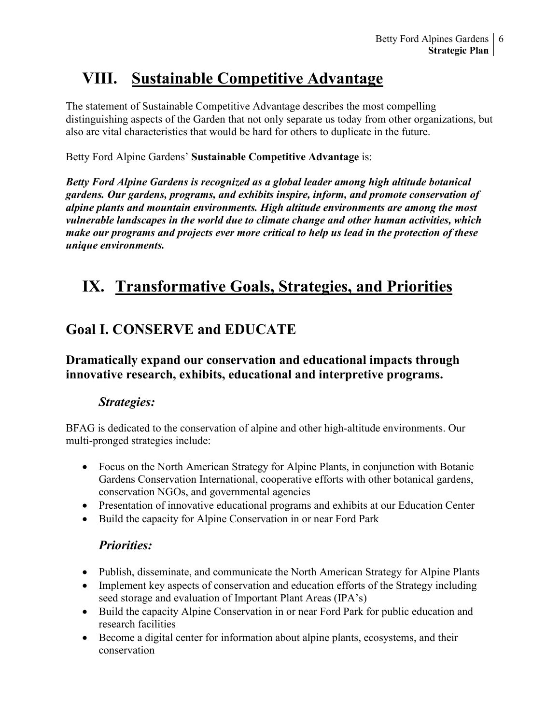## **VIII. Sustainable Competitive Advantage**

The statement of Sustainable Competitive Advantage describes the most compelling distinguishing aspects of the Garden that not only separate us today from other organizations, but also are vital characteristics that would be hard for others to duplicate in the future.

#### Betty Ford Alpine Gardens' **Sustainable Competitive Advantage** is:

*Betty Ford Alpine Gardens is recognized as a global leader among high altitude botanical gardens. Our gardens, programs, and exhibits inspire, inform, and promote conservation of alpine plants and mountain environments. High altitude environments are among the most vulnerable landscapes in the world due to climate change and other human activities, which make our programs and projects ever more critical to help us lead in the protection of these unique environments.*

## **IX. Transformative Goals, Strategies, and Priorities**

## **Goal I. CONSERVE and EDUCATE**

### **Dramatically expand our conservation and educational impacts through innovative research, exhibits, educational and interpretive programs.**

### *Strategies:*

BFAG is dedicated to the conservation of alpine and other high-altitude environments. Our multi-pronged strategies include:

- Focus on the North American Strategy for Alpine Plants, in conjunction with Botanic Gardens Conservation International, cooperative efforts with other botanical gardens, conservation NGOs, and governmental agencies
- Presentation of innovative educational programs and exhibits at our Education Center
- Build the capacity for Alpine Conservation in or near Ford Park

### *Priorities:*

- Publish, disseminate, and communicate the North American Strategy for Alpine Plants
- Implement key aspects of conservation and education efforts of the Strategy including seed storage and evaluation of Important Plant Areas (IPA's)
- Build the capacity Alpine Conservation in or near Ford Park for public education and research facilities
- Become a digital center for information about alpine plants, ecosystems, and their conservation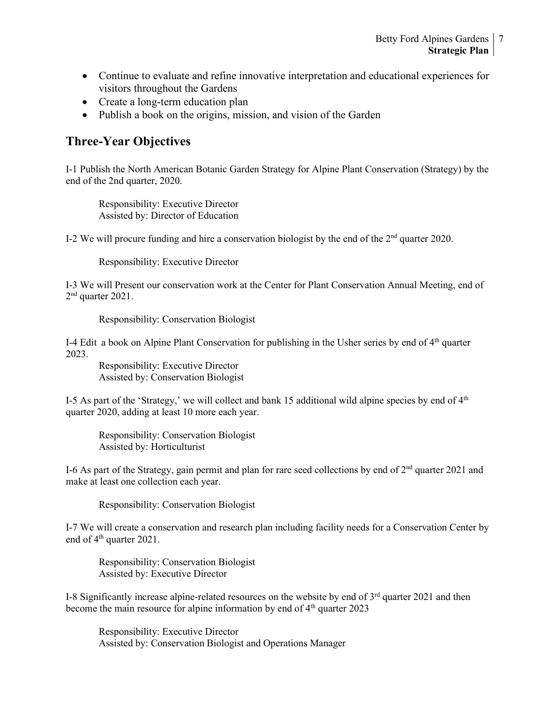- Continue to evaluate and refine innovative interpretation and educational experiences for visitors throughout the Gardens
- Create a long-term education plan
- Publish a book on the origins, mission, and vision of the Garden

## **Three-Year Objectives**

I-1 Publish the North American Botanic Garden Strategy for Alpine Plant Conservation (Strategy) by the end of the 2nd quarter, 2020.

Responsibility: Executive Director Assisted by: Director of Education

I-2 We will procure funding and hire a conservation biologist by the end of the  $2<sup>nd</sup>$  quarter 2020.

Responsibility: Executive Director

I-3 We will Present our conservation work at the Center for Plant Conservation Annual Meeting, end of 2nd quarter 2021.

Responsibility: Conservation Biologist

I-4 Edit a book on Alpine Plant Conservation for publishing in the Usher series by end of 4<sup>th</sup> quarter 2023.

Responsibility: Executive Director Assisted by: Conservation Biologist

I-5 As part of the 'Strategy,' we will collect and bank 15 additional wild alpine species by end of  $4<sup>th</sup>$ quarter 2020, adding at least 10 more each year.

Responsibility: Conservation Biologist Assisted by: Horticulturist

I-6 As part of the Strategy, gain permit and plan for rare seed collections by end of  $2<sup>nd</sup>$  quarter 2021 and make at least one collection each year.

Responsibility: Conservation Biologist

I-7 We will create a conservation and research plan including facility needs for a Conservation Center by end of 4<sup>th</sup> quarter 2021.

Responsibility: Conservation Biologist Assisted by: Executive Director

I-8 Significantly increase alpine-related resources on the website by end of  $3<sup>rd</sup>$  quarter 2021 and then become the main resource for alpine information by end of  $4<sup>th</sup>$  quarter 2023

Responsibility: Executive Director Assisted by: Conservation Biologist and Operations Manager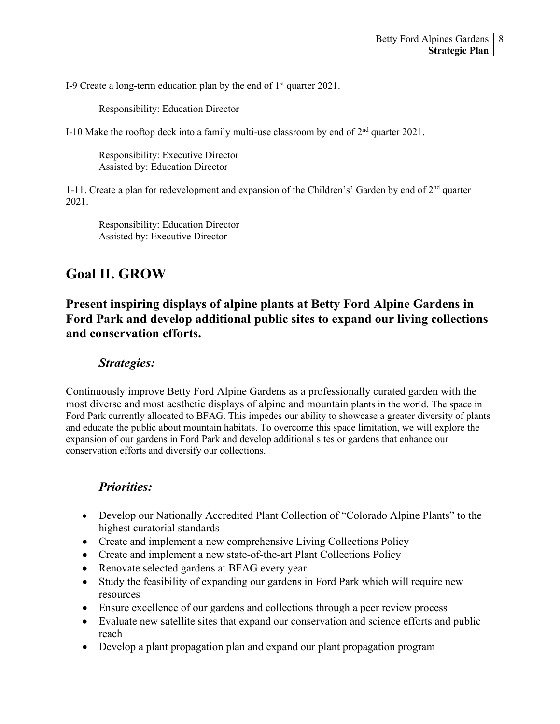I-9 Create a long-term education plan by the end of  $1<sup>st</sup>$  quarter 2021.

Responsibility: Education Director

I-10 Make the rooftop deck into a family multi-use classroom by end of 2nd quarter 2021.

Responsibility: Executive Director Assisted by: Education Director

1-11. Create a plan for redevelopment and expansion of the Children's' Garden by end of  $2<sup>nd</sup>$  quarter 2021.

Responsibility: Education Director Assisted by: Executive Director

## **Goal II. GROW**

## **Present inspiring displays of alpine plants at Betty Ford Alpine Gardens in Ford Park and develop additional public sites to expand our living collections and conservation efforts.**

### *Strategies:*

Continuously improve Betty Ford Alpine Gardens as a professionally curated garden with the most diverse and most aesthetic displays of alpine and mountain plants in the world. The space in Ford Park currently allocated to BFAG. This impedes our ability to showcase a greater diversity of plants and educate the public about mountain habitats. To overcome this space limitation, we will explore the expansion of our gardens in Ford Park and develop additional sites or gardens that enhance our conservation efforts and diversify our collections.

## *Priorities:*

- Develop our Nationally Accredited Plant Collection of "Colorado Alpine Plants" to the highest curatorial standards
- Create and implement a new comprehensive Living Collections Policy
- Create and implement a new state-of-the-art Plant Collections Policy
- Renovate selected gardens at BFAG every year
- Study the feasibility of expanding our gardens in Ford Park which will require new resources
- Ensure excellence of our gardens and collections through a peer review process
- Evaluate new satellite sites that expand our conservation and science efforts and public reach
- Develop a plant propagation plan and expand our plant propagation program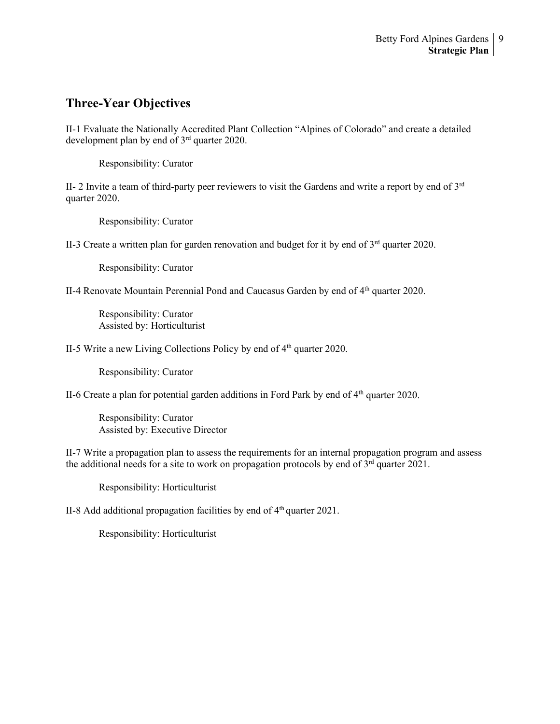### **Three-Year Objectives**

II-1 Evaluate the Nationally Accredited Plant Collection "Alpines of Colorado" and create a detailed development plan by end of 3rd quarter 2020.

Responsibility: Curator

II- 2 Invite a team of third-party peer reviewers to visit the Gardens and write a report by end of  $3<sup>rd</sup>$ quarter 2020.

Responsibility: Curator

II-3 Create a written plan for garden renovation and budget for it by end of 3<sup>rd</sup> quarter 2020.

Responsibility: Curator

II-4 Renovate Mountain Perennial Pond and Caucasus Garden by end of 4<sup>th</sup> quarter 2020.

Responsibility: Curator Assisted by: Horticulturist

II-5 Write a new Living Collections Policy by end of  $4<sup>th</sup>$  quarter 2020.

Responsibility: Curator

II-6 Create a plan for potential garden additions in Ford Park by end of  $4<sup>th</sup>$  quarter 2020.

Responsibility: Curator Assisted by: Executive Director

II-7 Write a propagation plan to assess the requirements for an internal propagation program and assess the additional needs for a site to work on propagation protocols by end of  $3<sup>rd</sup>$  quarter 2021.

Responsibility: Horticulturist

II-8 Add additional propagation facilities by end of  $4<sup>th</sup>$  quarter 2021.

Responsibility: Horticulturist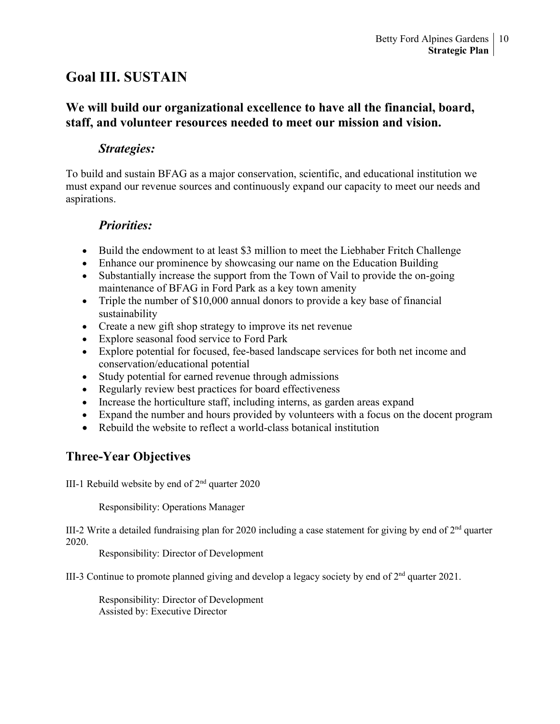## **Goal III. SUSTAIN**

## **We will build our organizational excellence to have all the financial, board, staff, and volunteer resources needed to meet our mission and vision.**

### *Strategies:*

To build and sustain BFAG as a major conservation, scientific, and educational institution we must expand our revenue sources and continuously expand our capacity to meet our needs and aspirations.

## *Priorities:*

- Build the endowment to at least \$3 million to meet the Liebhaber Fritch Challenge
- Enhance our prominence by showcasing our name on the Education Building
- Substantially increase the support from the Town of Vail to provide the on-going maintenance of BFAG in Ford Park as a key town amenity
- Triple the number of \$10,000 annual donors to provide a key base of financial sustainability
- Create a new gift shop strategy to improve its net revenue
- Explore seasonal food service to Ford Park
- Explore potential for focused, fee-based landscape services for both net income and conservation/educational potential
- Study potential for earned revenue through admissions
- Regularly review best practices for board effectiveness
- Increase the horticulture staff, including interns, as garden areas expand
- Expand the number and hours provided by volunteers with a focus on the docent program
- Rebuild the website to reflect a world-class botanical institution

## **Three-Year Objectives**

III-1 Rebuild website by end of  $2<sup>nd</sup>$  quarter 2020

Responsibility: Operations Manager

III-2 Write a detailed fundraising plan for 2020 including a case statement for giving by end of  $2<sup>nd</sup>$  quarter 2020.

Responsibility: Director of Development

III-3 Continue to promote planned giving and develop a legacy society by end of 2nd quarter 2021.

Responsibility: Director of Development Assisted by: Executive Director